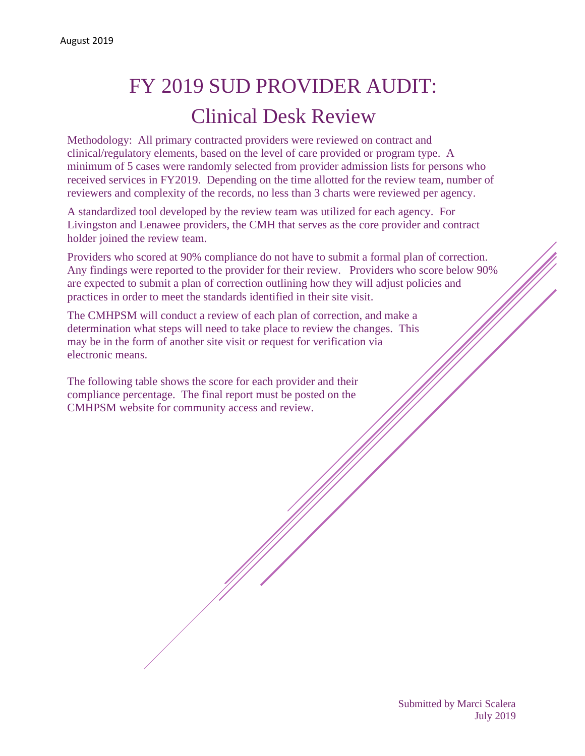## FY 2019 SUD PROVIDER AUDIT: Clinical Desk Review

Methodology: All primary contracted providers were reviewed on contract and clinical/regulatory elements, based on the level of care provided or program type. A minimum of 5 cases were randomly selected from provider admission lists for persons who received services in FY2019. Depending on the time allotted for the review team, number of reviewers and complexity of the records, no less than 3 charts were reviewed per agency.

A standardized tool developed by the review team was utilized for each agency. For Livingston and Lenawee providers, the CMH that serves as the core provider and contract holder joined the review team.

Providers who scored at 90% compliance do not have to submit a formal plan of correction. Any findings were reported to the provider for their review. Providers who score below 90% are expected to submit a plan of correction outlining how they will adjust policies and practices in order to meet the standards identified in their site visit.

The CMHPSM will conduct a review of each plan of correction, and make a determination what steps will need to take place to review the changes. This may be in the form of another site visit or request for verification via electronic means.

The following table shows the score for each provider and their compliance percentage. The final report must be posted on the CMHPSM website for community access and review.